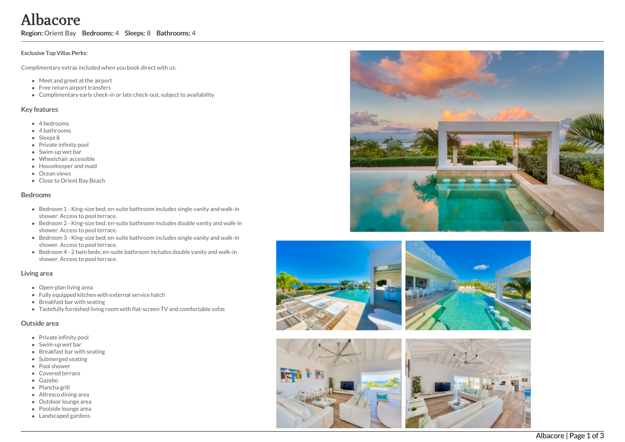Albacore

Region: Orient Bay Bedrooms: 4 Sleeps: 8 Bathrooms: 4

#### Exclusive Top Villas Perks:

Complimentary extras included when you book direct with us:

- Meet and greet at the airport
- Free return airport transfers
- Complimentary early check-in or late check-out, subject to availability

#### Key features

- 4 b e d r o o m s
- 4 bathrooms
- Sleeps 8
- Private infinity pool
- Swim-up wet bar
- Wheelchair accessible
- Housekeeper and maid
- Ocean views
- Close to Orient Bay Bea c h

#### **Bedrooms**

- Bedroom 1 King-size bed; en-suite bathroom includes single vanity and walk-in shower. Access to pool terrace.
- Bedroom 2 King-size bed; en-suite bathroom includes double vanity and walk-in shower. Access to pool terrace.
- Bedroom 3 King-size bed; en-suite bathroom includes single vanity and walk-in shower. Access to pool terrace.
- Bedroom 4 2 twin beds; en-suite bathroom includes double vanity and walk-in shower. Access to pool terrace.

### Living area

- Open-plan living area
- Fully equipped kitchen with external service hatch
- Breakfast bar with seating
- Tastefully furnished living room with flat-screen TV and comfortable sofas

### Outside area

- Private infinity pool
- Swim-up wet bar
- Breakfast bar with seating
- Submerged seating
- Pool shower
- Covered terrace
- G a z e b o
- Plancha grill
- Alfresco dining area
- Outdoor lounge area
- Poolside lounge area Landscaped gardens









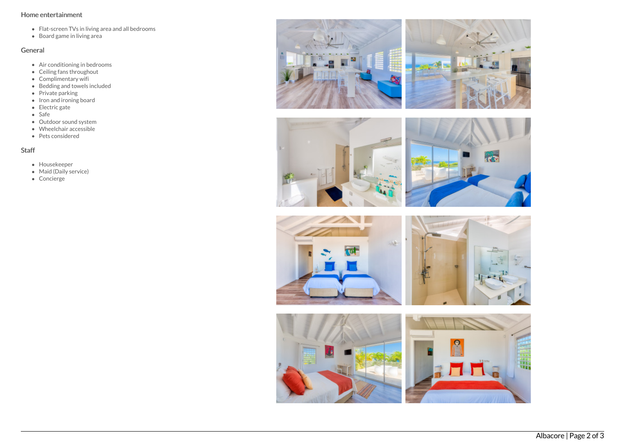### Home entertainment

- Flat-screen TVs in living area and all bedrooms
- Board game in living area

## General

- Air conditioning in bedrooms
- Ceiling fans throughout
- Complimentary wifi
- Bedding and towels included
- Private parking
- Iron and ironing board
- Electric gate
- Safe
- Outdoor sound system
- Wheelchair accessible
- Pets considered

# Staff

- Housekeeper
- Maid (Daily service)
- Concierge